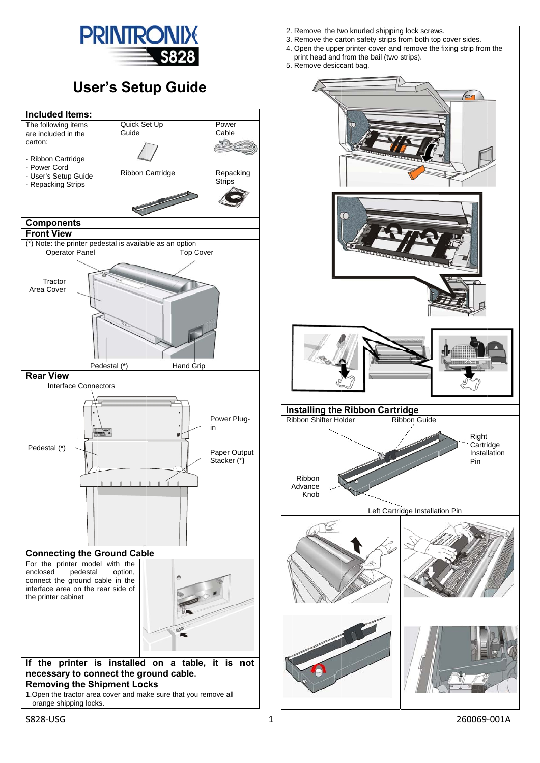

## **User's Setup Guide**



- 2. Remove the two knurled shipping lock screws.
- 3. Remove the carton safety strips from both top cover sides.
- 4. Open the upper printer cover and remove the fixing strip from the print head and from the bail (two strips).
- 5. Remove desiccant bag

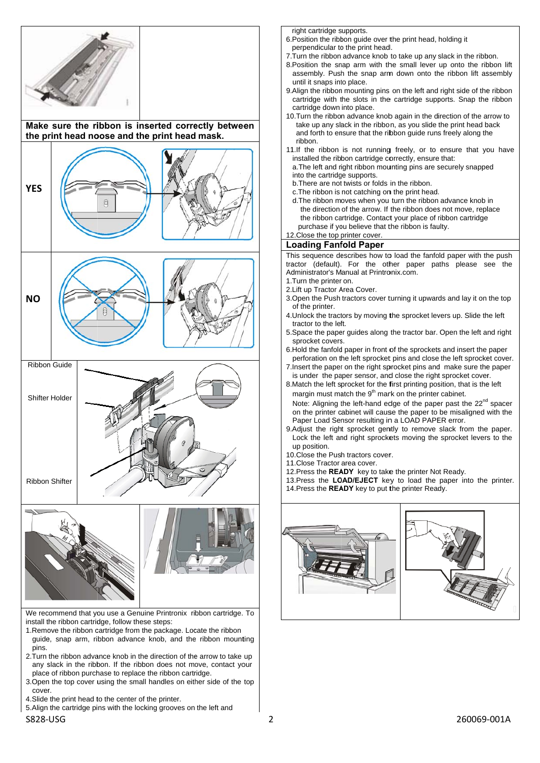

We recommend that you use a Genuine Printronix ribbon cartridge. To install the ribbon cartridge, follow these steps:

- 1. Remove the ribbon cartridge from the package. Locate the ribbon guide, snap arm, ribbon advance knob, and the ribbon mounting pins.
- 2. Turn the ribbon advance knob in the direction of the arrow to take up any slack in the ribbon. If the ribbon does not move, contact your place of ribbon purchase to replace the ribbon cartridge.
- 3. Open the top cover using the small handles on either side of the top cover.
- 4. Slide the print head to the center of the printer.

S828‐ USG

5. Align the cartridge pins with the locking grooves on the left and

right cartridge supports.

- 6. Position the ribb bon guide over t the print head, holding it perpendicular to the print head.
- 7. Turn the ribbon advance knob to take up any slack in the ribbon.
- 8. Position the snap arm with the small lever up onto the ribbon lift assembly. Push the snap arm down onto the ribbon lift assembly until it snaps into place.
- 9. Align the ribbon mounting pins on the left and right side of the ribbon cartridge with the slots in the cartridge supports. Snap the ribbon cartridge down into place.
- 10. Turn the ribbon advance knob again in the direction of the arrow to take up any slack in the ribbon, as you slide the print head back and forth to ensure that the ribbon guide runs freely along the ribbon.
- 11. If the ribbon is not running freely, or to ensure that you have installed the ribbon cartridge correctly, ensure that:
- a. The left and right ribbon mounting pins are securely snapped into the cartridge supports.
- b. There are not twists or folds in the ribbon.
- c. The ribbon is not catching on the print head.
- the ribbon cartridge. Contact your place of ribbon cartridge<br>
purchase if you believe that the ribbon is faulty.<br>
12.Close the top printer cover.<br> **Loading Fanfold Paper**<br>
This sequence describes how to load the fanfold pa c.The ribbon is not catching on the print head.<br>d.The ribbon moves when you turn the ribbon advance knob in the direction of the arrow. If the ribbon does not move, replace the ribbon cartridge. Contact your place of ribbon cartridge purchase if you believe that the ribbon is faulty.

## 12 2.Close the top printer cover. **Loading Fanfold Paper**

tractor (default). For the other paper paths please see the Administrator's Manual at Printronix.com.

- 1. Turn the printer on.
- 2. Lift up Tractor Area Cover.
- 3. Open the Push tractors cover turning it upwards and lay it on the top of the printer.
- 4. Unlock the tractors by moving the sprocket levers up. Slide the left tractor to the left.
- 5. Space the paper guides along the tractor bar. Open the left and right sprocket covers.
- 6. Hold the fanfold paper in front of the sprockets and insert the paper perforation on the left sprocket pins and close the left sprocket cover.
- 7. Insert the paper on the right sprocket pins and make sure the paper is under the paper sensor, and close the right sprocket cover.
- 8. Match the left sprocket for the first printing position, that is the left margin must match the  $9<sup>th</sup>$  mark on the printer cabinet.
- Note: Aligning the left-hand edge of the paper past the 22<sup>nd</sup> spacer on the printer cabinet will cause the paper to be misaligned with the Paper Load Sensor resulting in a LOAD PAPER error.
- 9. Adjust the right sprocket gently to remove slack from the paper. Lock the left and right sprockets moving the sprocket levers to the up position.
- 10. Close the Push tractors cover.
- 11 1.Close Tractor area cover.
- 12. Press the **READY** key to take the printer Not Ready.
- 13. Press the LOAD/EJECT key to load the paper into the printer.
- 14. Press the **READY** key to put the printer Ready.